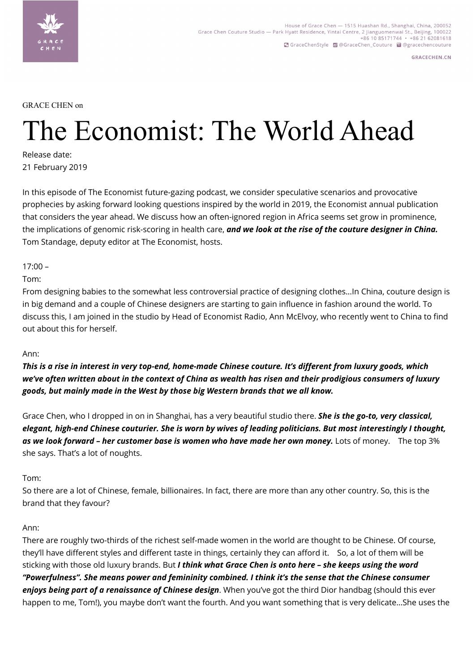

**GRACECHEN.CN** 

GRACE CHEN on

# The Economist: The World Ahead

Release date: 21 February 2019

In this episode of The Economist future-gazing podcast, we consider speculative scenarios and provocative prophecies by asking forward looking questions inspired by the world in 2019, the Economist annual publication that considers the year ahead. We discuss how an often-ignored region in Africa seems set grow in prominence, the implications of genomic risk-scoring in health care, *and we look at the rise of the couture designer in China.*  Tom Standage, deputy editor at The Economist, hosts.

 $17:00 -$ 

Tom:

From designing babies to the somewhat less controversial practice of designing clothes...In China, couture design is in big demand and a couple of Chinese designers are starting to gain influence in fashion around the world. To discuss this, I am joined in the studio by Head of Economist Radio, Ann McElvoy, who recently went to China to find out about this for herself.

## Ann:

*This is a rise in interest in very top-end, home-made Chinese couture. It's different from luxury goods, which we've often written about in the context of China as wealth has risen and their prodigious consumers of luxury goods, but mainly made in the West by those big Western brands that we all know.*

Grace Chen, who I dropped in on in Shanghai, has a very beautiful studio there. *She is the go-to, very classical, elegant, high-end Chinese couturier. She is worn by wives of leading politicians. But most interestingly I thought, as we look forward – her customer base is women who have made her own money.* Lots of money. The top 3% she says. That's a lot of noughts.

## Tom:

So there are a lot of Chinese, female, billionaires. In fact, there are more than any other country. So, this is the brand that they favour?

## Ann:

There are roughly two-thirds of the richest self-made women in the world are thought to be Chinese. Of course, they'll have different styles and different taste in things, certainly they can afford it. So, a lot of them will be sticking with those old luxury brands. But *I think what Grace Chen is onto here – she keeps using the word "Powerfulness". She means power and femininity combined. I think it's the sense that the Chinese consumer enjoys being part of a renaissance of Chinese design*. When you've got the third Dior handbag (should this ever happen to me, Tom!), you maybe don't want the fourth. And you want something that is very delicate…She uses the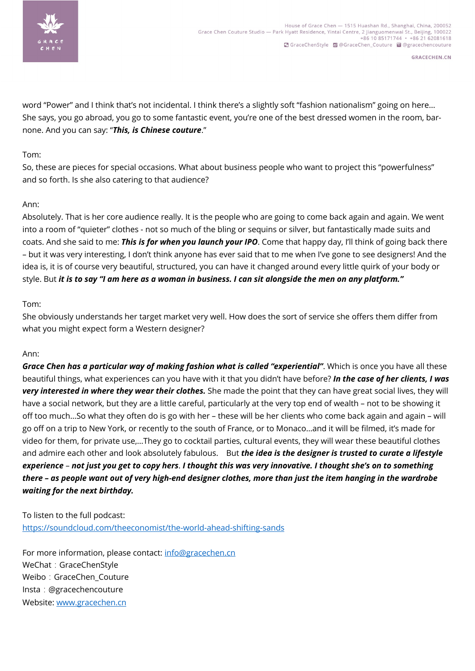

**GRACECHEN.CN** 

word "Power" and I think that's not incidental. I think there's a slightly soft "fashion nationalism" going on here… She says, you go abroad, you go to some fantastic event, you're one of the best dressed women in the room, barnone. And you can say: "*This, is Chinese couture*."

# Tom:

So, these are pieces for special occasions. What about business people who want to project this "powerfulness" and so forth. Is she also catering to that audience?

# Ann:

Absolutely. That is her core audience really. It is the people who are going to come back again and again. We went into a room of "quieter" clothes - not so much of the bling or sequins or silver, but fantastically made suits and coats. And she said to me: *This is for when you launch your IPO*. Come that happy day, I'll think of going back there – but it was very interesting, I don't think anyone has ever said that to me when I've gone to see designers! And the idea is, it is of course very beautiful, structured, you can have it changed around every little quirk of your body or style. But *it is to say "I am here as a woman in business. I can sit alongside the men on any platform."*

# Tom:

She obviously understands her target market very well. How does the sort of service she offers them differ from what you might expect form a Western designer?

## Ann:

*Grace Chen has a particular way of making fashion what is called "experiential"*. Which is once you have all these beautiful things, what experiences can you have with it that you didn't have before? *In the case of her clients, I was very interested in where they wear their clothes.* She made the point that they can have great social lives, they will have a social network, but they are a little careful, particularly at the very top end of wealth – not to be showing it off too much…So what they often do is go with her – these will be her clients who come back again and again – will go off on a trip to New York, or recently to the south of France, or to Monaco…and it will be filmed, it's made for video for them, for private use,…They go to cocktail parties, cultural events, they will wear these beautiful clothes and admire each other and look absolutely fabulous. But *the idea is the designer is trusted to curate a lifestyle experience* – *not just you get to copy hers*. *I thought this was very innovative. I thought she's on to something there – as people want out of very high-end designer clothes, more than just the item hanging in the wardrobe waiting for the next birthday.*

To listen to the full podcast: https://soundcloud.com/theeconomist/the-world-ahead-shifting-sands

For more information, please contact: info@gracechen.cn WeChat: GraceChenStyle Weibo: GraceChen\_Couture Insta:@gracechencouture Website: www.gracechen.cn